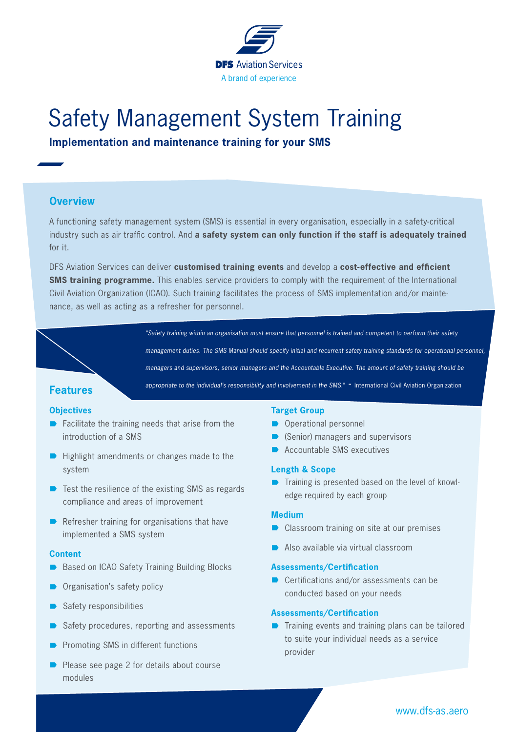

# Safety Management System Training

**Implementation and maintenance training for your SMS**

# **Overview**

A functioning safety management system (SMS) is essential in every organisation, especially in a safety-critical industry such as air traffic control. And **a safety system can only function if the staff is adequately trained** for it.

DFS Aviation Services can deliver **customised training events** and develop a **cost-effective and efficient SMS training programme.** This enables service providers to comply with the requirement of the International Civil Aviation Organization (ICAO). Such training facilitates the process of SMS implementation and/or maintenance, as well as acting as a refresher for personnel.

**Features**

## **Objectives**

- $\blacksquare$  Facilitate the training needs that arise from the introduction of a SMS
- $\blacksquare$  Highlight amendments or changes made to the system
- $\blacksquare$  Test the resilience of the existing SMS as regards compliance and areas of improvement
- $\blacksquare$  Refresher training for organisations that have implemented a SMS system

#### **Content**

- Based on ICAO Safety Training Building Blocks
- Organisation's safety policy
- Safety responsibilities
- Safety procedures, reporting and assessments
- Promoting SMS in different functions
- Please see page 2 for details about course modules

#### **Target Group**

*"Safety training within an organisation must ensure that personnel is trained and competent to perform their safety* 

*managers and supervisors, senior managers and the Accountable Executive. The amount of safety training should be*  appropriate to the individual's responsibility and involvement in the SMS." - International Civil Aviation Organization

*management duties. The SMS Manual should specify initial and recurrent safety training standards for operational personnel,* 

- $\rightarrow$  Operational personnel
- $\blacksquare$  (Senior) managers and supervisors
- Accountable SMS executives

## **Length & Scope**

 $\blacksquare$  Training is presented based on the level of knowledge required by each group

#### **Medium**

- Classroom training on site at our premises
- Also available via virtual classroom

#### **Assessments/Certification**

 $\blacksquare$  Certifications and/or assessments can be conducted based on your needs

### **Assessments/Certification**

 $\blacksquare$  Training events and training plans can be tailored to suite your individual needs as a service provider

www.dfs-as.aero